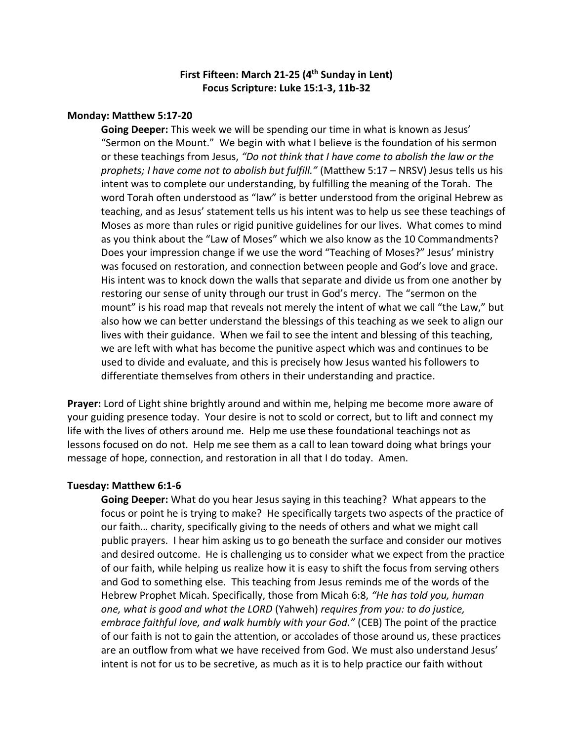# **First Fifteen: March 21-25 (4 th Sunday in Lent) Focus Scripture: Luke 15:1-3, 11b-32**

### **Monday: Matthew 5:17-20**

**Going Deeper:** This week we will be spending our time in what is known as Jesus' "Sermon on the Mount." We begin with what I believe is the foundation of his sermon or these teachings from Jesus, *"Do not think that I have come to abolish the law or the prophets; I have come not to abolish but fulfill."* (Matthew 5:17 – NRSV) Jesus tells us his intent was to complete our understanding, by fulfilling the meaning of the Torah. The word Torah often understood as "law" is better understood from the original Hebrew as teaching, and as Jesus' statement tells us his intent was to help us see these teachings of Moses as more than rules or rigid punitive guidelines for our lives. What comes to mind as you think about the "Law of Moses" which we also know as the 10 Commandments? Does your impression change if we use the word "Teaching of Moses?" Jesus' ministry was focused on restoration, and connection between people and God's love and grace. His intent was to knock down the walls that separate and divide us from one another by restoring our sense of unity through our trust in God's mercy. The "sermon on the mount" is his road map that reveals not merely the intent of what we call "the Law," but also how we can better understand the blessings of this teaching as we seek to align our lives with their guidance. When we fail to see the intent and blessing of this teaching, we are left with what has become the punitive aspect which was and continues to be used to divide and evaluate, and this is precisely how Jesus wanted his followers to differentiate themselves from others in their understanding and practice.

**Prayer:** Lord of Light shine brightly around and within me, helping me become more aware of your guiding presence today. Your desire is not to scold or correct, but to lift and connect my life with the lives of others around me. Help me use these foundational teachings not as lessons focused on do not. Help me see them as a call to lean toward doing what brings your message of hope, connection, and restoration in all that I do today. Amen.

#### **Tuesday: Matthew 6:1-6**

**Going Deeper:** What do you hear Jesus saying in this teaching? What appears to the focus or point he is trying to make? He specifically targets two aspects of the practice of our faith… charity, specifically giving to the needs of others and what we might call public prayers. I hear him asking us to go beneath the surface and consider our motives and desired outcome. He is challenging us to consider what we expect from the practice of our faith, while helping us realize how it is easy to shift the focus from serving others and God to something else. This teaching from Jesus reminds me of the words of the Hebrew Prophet Micah. Specifically, those from Micah 6:8, *"He has told you, human one, what is good and what the LORD* (Yahweh) *requires from you: to do justice, embrace faithful love, and walk humbly with your God."* (CEB) The point of the practice of our faith is not to gain the attention, or accolades of those around us, these practices are an outflow from what we have received from God. We must also understand Jesus' intent is not for us to be secretive, as much as it is to help practice our faith without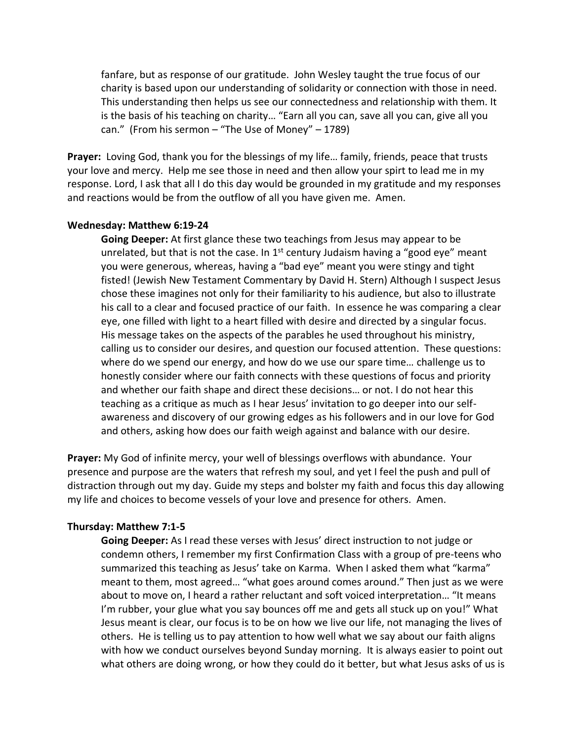fanfare, but as response of our gratitude. John Wesley taught the true focus of our charity is based upon our understanding of solidarity or connection with those in need. This understanding then helps us see our connectedness and relationship with them. It is the basis of his teaching on charity… "Earn all you can, save all you can, give all you can." (From his sermon – "The Use of Money" – 1789)

**Prayer:** Loving God, thank you for the blessings of my life… family, friends, peace that trusts your love and mercy. Help me see those in need and then allow your spirt to lead me in my response. Lord, I ask that all I do this day would be grounded in my gratitude and my responses and reactions would be from the outflow of all you have given me. Amen.

#### **Wednesday: Matthew 6:19-24**

**Going Deeper:** At first glance these two teachings from Jesus may appear to be unrelated, but that is not the case. In  $1<sup>st</sup>$  century Judaism having a "good eye" meant you were generous, whereas, having a "bad eye" meant you were stingy and tight fisted! (Jewish New Testament Commentary by David H. Stern) Although I suspect Jesus chose these imagines not only for their familiarity to his audience, but also to illustrate his call to a clear and focused practice of our faith. In essence he was comparing a clear eye, one filled with light to a heart filled with desire and directed by a singular focus. His message takes on the aspects of the parables he used throughout his ministry, calling us to consider our desires, and question our focused attention. These questions: where do we spend our energy, and how do we use our spare time… challenge us to honestly consider where our faith connects with these questions of focus and priority and whether our faith shape and direct these decisions… or not. I do not hear this teaching as a critique as much as I hear Jesus' invitation to go deeper into our selfawareness and discovery of our growing edges as his followers and in our love for God and others, asking how does our faith weigh against and balance with our desire.

**Prayer:** My God of infinite mercy, your well of blessings overflows with abundance. Your presence and purpose are the waters that refresh my soul, and yet I feel the push and pull of distraction through out my day. Guide my steps and bolster my faith and focus this day allowing my life and choices to become vessels of your love and presence for others. Amen.

#### **Thursday: Matthew 7:1-5**

**Going Deeper:** As I read these verses with Jesus' direct instruction to not judge or condemn others, I remember my first Confirmation Class with a group of pre-teens who summarized this teaching as Jesus' take on Karma. When I asked them what "karma" meant to them, most agreed… "what goes around comes around." Then just as we were about to move on, I heard a rather reluctant and soft voiced interpretation… "It means I'm rubber, your glue what you say bounces off me and gets all stuck up on you!" What Jesus meant is clear, our focus is to be on how we live our life, not managing the lives of others. He is telling us to pay attention to how well what we say about our faith aligns with how we conduct ourselves beyond Sunday morning. It is always easier to point out what others are doing wrong, or how they could do it better, but what Jesus asks of us is